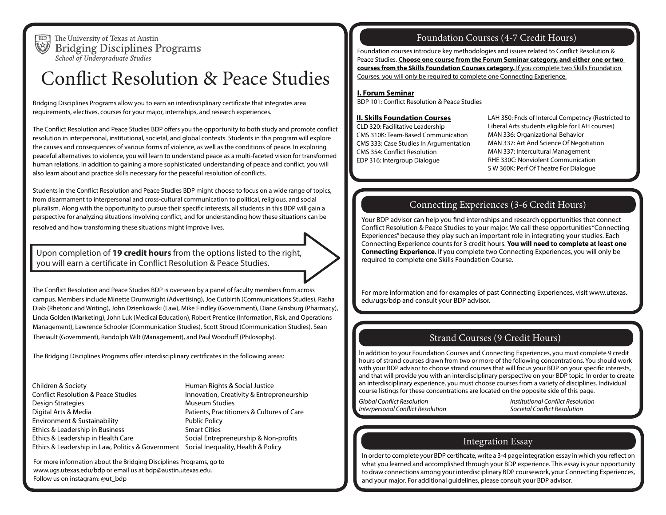

The University of Texas at Austin **Bridging Disciplines Programs** School of Undergraduate Studies

# Conflict Resolution & Peace Studies

Bridging Disciplines Programs allow you to earn an interdisciplinary certificate that integrates area requirements, electives, courses for your major, internships, and research experiences.

The Conflict Resolution and Peace Studies BDP offers you the opportunity to both study and promote conflict resolution in interpersonal, institutional, societal, and global contexts. Students in this program will explore the causes and consequences of various forms of violence, as well as the conditions of peace. In exploring peaceful alternatives to violence, you will learn to understand peace as a multi-faceted vision for transformed human relations. In addition to gaining a more sophisticated understanding of peace and conflict, you will also learn about and practice skills necessary for the peaceful resolution of conflicts.

Students in the Conflict Resolution and Peace Studies BDP might choose to focus on a wide range of topics, from disarmament to interpersonal and cross-cultural communication to political, religious, and social pluralism. Along with the opportunity to pursue their specific interests, all students in this BDP will gain a perspective for analyzing situations involving conflict, and for understanding how these situations can be resolved and how transforming these situations might improve lives.

Upon completion of **19 credit hours** from the options listed to the right, you will earn a certificate in Conflict Resolution & Peace Studies.

The Conflict Resolution and Peace Studies BDP is overseen by a panel of faculty members from across campus. Members include Minette Drumwright (Advertising), Joe Cutbirth (Communications Studies), Rasha Diab (Rhetoric and Writing), John Dzienkowski (Law), Mike Findley (Government), Diane Ginsburg (Pharmacy), Linda Golden (Marketing), John Luk (Medical Education), Robert Prentice (Information, Risk, and Operations Management), Lawrence Schooler (Communication Studies), Scott Stroud (Communication Studies), Sean Theriault (Government), Randolph Wilt (Management), and Paul Woodruff (Philosophy).

The Bridging Disciplines Programs offer interdisciplinary certificates in the following areas:

 Conflict Resolution & Peace Studies Children & Society Design Strategies Digital Arts & Media Environment & Sustainability Ethics & Leadership in Business Ethics & Leadership in Health Care Ethics & Leadership in Law, Politics & Government Social Inequality, Health & Policy

Human Rights & Social Justice Innovation, Creativity & Entrepreneurship Museum Studies Patients, Practitioners & Cultures of Care Public Policy Smart Cities Social Entrepreneurship & Non-profits

For more information about the Bridging Disciplines Programs, go to www.ugs.utexas.edu/bdp or email us at bdp@austin.utexas.edu. Follow us on instagram: @ut\_bdp

## Foundation Courses (4-7 Credit Hours)

Foundation courses introduce key methodologies and issues related to Conflict Resolution & Peace Studies. **Choose one course from the Forum Seminar category, and either one or two courses from the Skills Foundation Courses category.** If you complete two Skills Foundation Courses, you will only be required to complete one Connecting Experience.

#### **I. Forum Seminar**

BDP 101: Conflict Resolution & Peace Studies

#### **II. Skills Foundation Courses**

CLD 320: Facilitative Leadership CMS 310K: Team-Based Communication CMS 333: Case Studies In Argumentation CMS 354: Conflict Resolution EDP 316: Intergroup Dialogue

LAH 350: Fnds of Intercul Competncy (Restricted to Liberal Arts students eligible for LAH courses) MAN 336: Organizational Behavior MAN 337: Art And Science Of Negotiation MAN 337: Intercultural Management RHE 330C: Nonviolent Communication S W 360K: Perf Of Theatre For Dialogue

#### Connecting Experiences (3-6 Credit Hours)

Your BDP advisor can help you find internships and research opportunities that connect Conflict Resolution & Peace Studies to your major. We call these opportunities "Connecting Experiences" because they play such an important role in integrating your studies. Each Connecting Experience counts for 3 credit hours. **You will need to complete at least one Connecting Experience.** If you complete two Connecting Experiences, you will only be required to complete one Skills Foundation Course.

For more information and for examples of past Connecting Experiences, visit www.utexas. edu/ugs/bdp and consult your BDP advisor.

#### Strand Courses (9 Credit Hours)

In addition to your Foundation Courses and Connecting Experiences, you must complete 9 credit hours of strand courses drawn from two or more of the following concentrations. You should work with your BDP advisor to choose strand courses that will focus your BDP on your specific interests, and that will provide you with an interdisciplinary perspective on your BDP topic. In order to create an interdisciplinary experience, you must choose courses from a variety of disciplines. Individual course listings for these concentrations are located on the opposite side of this page.

*Global Conflict Resolution*<br>Institutional Conflict Resolution **Interpretational Conflict Resolution**<br>Interpretation *Interpretation Societal Conflict Resolution Interpersonal Conflict Resolution* 

## Integration Essay

In order to complete your BDP certificate, write a 3-4 page integration essay in which you reflect on what you learned and accomplished through your BDP experience. This essay is your opportunity to draw connections among your interdisciplinary BDP coursework, your Connecting Experiences, and your major. For additional guidelines, please consult your BDP advisor.